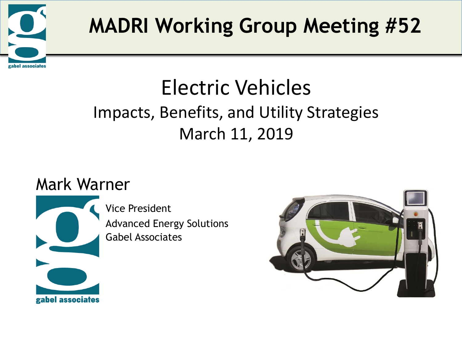

# Electric Vehicles Impacts, Benefits, and Utility Strategies March 11, 2019

## Mark Warner

gabel associates

Vice President Advanced Energy Solutions Gabel Associates

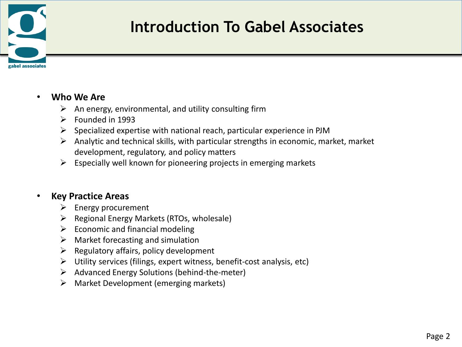

### **Introduction To Gabel Associates**

#### • **Who We Are**

- $\triangleright$  An energy, environmental, and utility consulting firm
- $\triangleright$  Founded in 1993
- $\triangleright$  Specialized expertise with national reach, particular experience in PJM
- $\triangleright$  Analytic and technical skills, with particular strengths in economic, market, market development, regulatory, and policy matters
- $\triangleright$  Especially well known for pioneering projects in emerging markets

#### • **Key Practice Areas**

- $\triangleright$  Energy procurement
- $\triangleright$  Regional Energy Markets (RTOs, wholesale)
- $\triangleright$  Economic and financial modeling
- $\triangleright$  Market forecasting and simulation
- $\triangleright$  Regulatory affairs, policy development
- $\triangleright$  Utility services (filings, expert witness, benefit-cost analysis, etc)
- $\triangleright$  Advanced Energy Solutions (behind-the-meter)
- $\triangleright$  Market Development (emerging markets)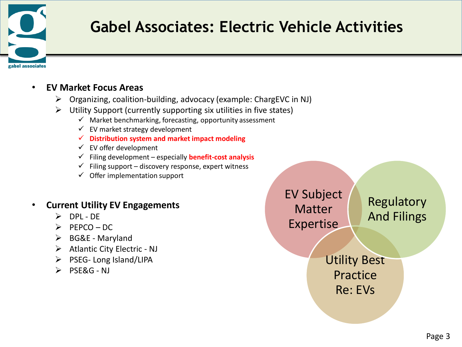

## **Gabel Associates: Electric Vehicle Activities**

#### • **EV Market Focus Areas**

- $\triangleright$  Organizing, coalition-building, advocacy (example: ChargEVC in NJ)
- $\triangleright$  Utility Support (currently supporting six utilities in five states)
	- $\checkmark$  Market benchmarking, forecasting, opportunity assessment
	- $\checkmark$  EV market strategy development
	- **Distribution system and market impact modeling**
	- $\checkmark$  EV offer development
	- Filing development especially **benefit-cost analysis**
	- $\checkmark$  Filing support discovery response, expert witness
	- $\checkmark$  Offer implementation support

#### • **Current Utility EV Engagements**

- $\triangleright$  DPI-DF
- $\triangleright$  PEPCO DC
- $\triangleright$  BG&E Maryland
- $\triangleright$  Atlantic City Electric NJ
- $\triangleright$  PSEG- Long Island/LIPA
- $\triangleright$  PSE&G NJ

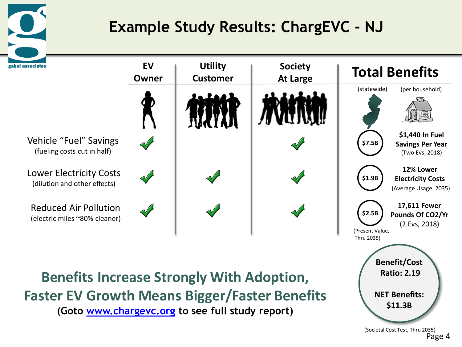

## **Example Study Results: ChargEVC - NJ**



Page 4 (Societal Cost Test, Thru 2035)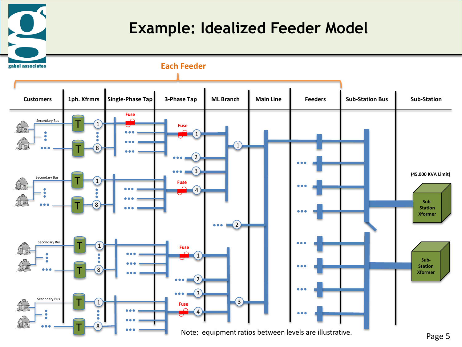### **Example: Idealized Feeder Model**

 $\Omega$ 

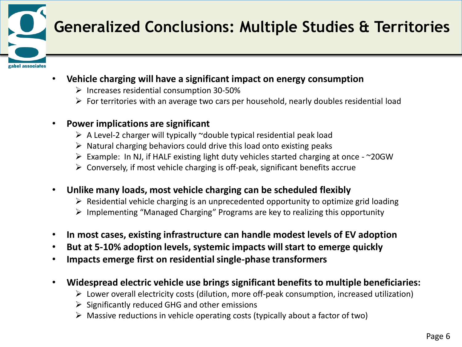

## **Generalized Conclusions: Multiple Studies & Territories**

- **Vehicle charging will have a significant impact on energy consumption**
	- $\triangleright$  Increases residential consumption 30-50%
	- $\triangleright$  For territories with an average two cars per household, nearly doubles residential load
- **Power implications are significant**
	- $\triangleright$  A Level-2 charger will typically ~double typical residential peak load
	- $\triangleright$  Natural charging behaviors could drive this load onto existing peaks
	- Example: In NJ, if HALF existing light duty vehicles started charging at once ~20GW
	- $\triangleright$  Conversely, if most vehicle charging is off-peak, significant benefits accrue
- **Unlike many loads, most vehicle charging can be scheduled flexibly**
	- $\triangleright$  Residential vehicle charging is an unprecedented opportunity to optimize grid loading
	- $\triangleright$  Implementing "Managed Charging" Programs are key to realizing this opportunity
- **In most cases, existing infrastructure can handle modest levels of EV adoption**
- **But at 5-10% adoption levels, systemic impacts will start to emerge quickly**
- **Impacts emerge first on residential single-phase transformers**
- **Widespread electric vehicle use brings significant benefits to multiple beneficiaries:**
	- Lower overall electricity costs (dilution, more off-peak consumption, increased utilization)
	- $\triangleright$  Significantly reduced GHG and other emissions
	- $\triangleright$  Massive reductions in vehicle operating costs (typically about a factor of two)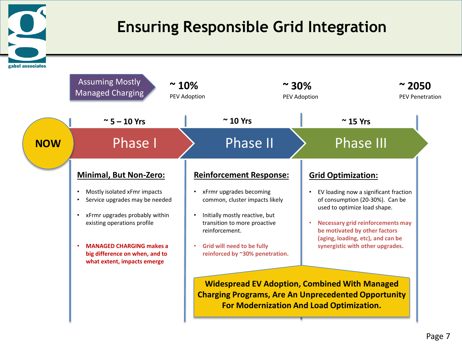### **Ensuring Responsible Grid Integration**

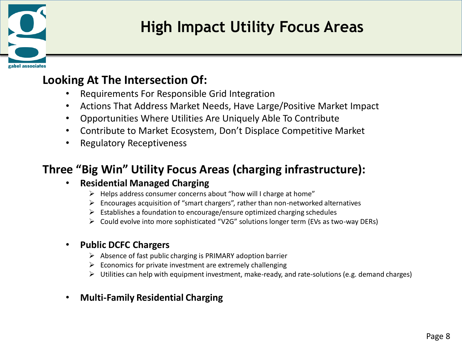

## **High Impact Utility Focus Areas**

#### **Looking At The Intersection Of:**

- Requirements For Responsible Grid Integration
- Actions That Address Market Needs, Have Large/Positive Market Impact
- Opportunities Where Utilities Are Uniquely Able To Contribute
- Contribute to Market Ecosystem, Don't Displace Competitive Market
- Regulatory Receptiveness

### **Three "Big Win" Utility Focus Areas (charging infrastructure):**

#### • **Residential Managed Charging**

- $\triangleright$  Helps address consumer concerns about "how will I charge at home"
- $\triangleright$  Encourages acquisition of "smart chargers", rather than non-networked alternatives
- $\triangleright$  Establishes a foundation to encourage/ensure optimized charging schedules
- Could evolve into more sophisticated "V2G" solutions longer term (EVs as two-way DERs)

#### • **Public DCFC Chargers**

- $\triangleright$  Absence of fast public charging is PRIMARY adoption barrier
- $\triangleright$  Economics for private investment are extremely challenging
- $\triangleright$  Utilities can help with equipment investment, make-ready, and rate-solutions (e.g. demand charges)
- **Multi-Family Residential Charging**